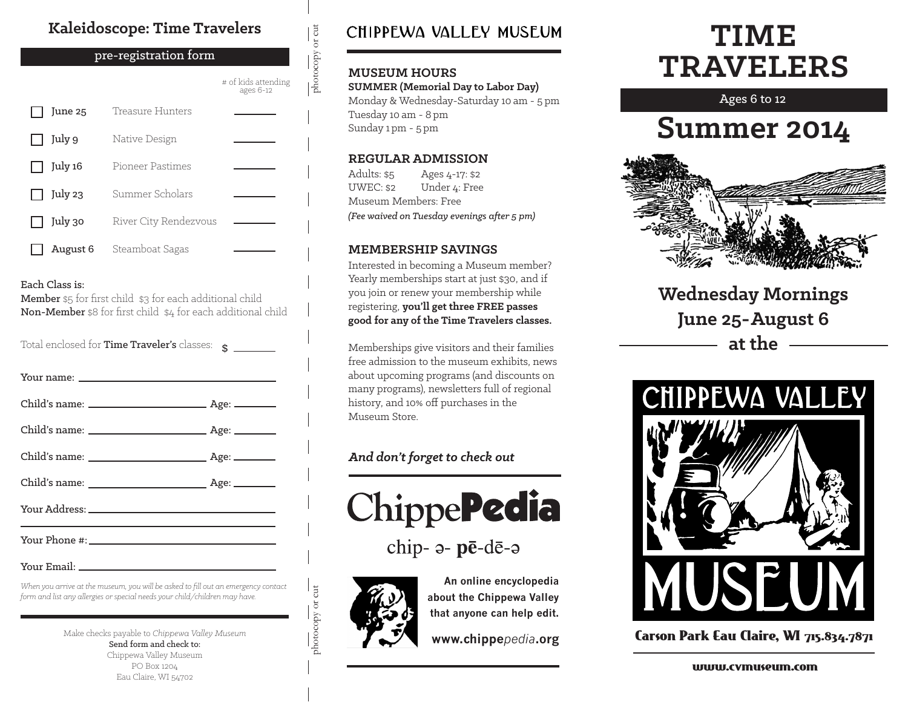### **Kaleidoscope: Time Travelers**

#### pre-registration form

 $\frac{1}{\text{photocopy or cut}}$ # of kids attending ages 6-12 June 25 Treasure Hunters July 9 Native Design July 16 Pioneer Pastimes Summer Scholars July 23 July 30 River City Rendezvous August 6 Steamboat Sagas

#### Each Class is:

Member \$5 for first child \$3 for each additional child Non-Member \$8 for first child \$4 for each additional child

Total enclosed for **Time Traveler's** classes:  $\hat{\mathbf{s}}$ 

Your Email:

*When you arrive at the museum, you will be asked to fill out an emergency contact form and list any allergies or special needs your child/children may have.*

> Make checks payable to *Chippewa Valley Museum* Send form and check to: Chippewa Valley Museum PO Box 1204 Eau Claire, WI 54702

### CHIPPEWA VALLEY MUSEUM

#### **MUSEUM HOURS**

photocopy or cut

**SUMMER (Memorial Day to Labor Day)** Monday & Wednesday-Saturday 10 am - 5 pm Tuesday 10 am - 8 pm Sunday 1 pm - 5 pm

#### **REGULAR ADMISSION**

Adults: \$5  $IIWEC·$ \$2 Ages 4-17: \$2 Under 4: Free Museum Members: Free *(Fee waived on Tuesday evenings after 5 pm)*

#### **MEMBERSHIP SAVINGS**

Interested in becoming a Museum member? Yearly memberships start at just \$30, and if you join or renew your membership while registering, **you'll get three FREE passes good for any of the Time Travelers classes.**

Memberships give visitors and their families free admission to the museum exhibits, news about upcoming programs (and discounts on many programs), newsletters full of regional history, and 10% off purchases in the Museum Store.

#### *And don't forget to check out*



chip- a- pē-dē-a



photocopy or cut

photocopy or cut

**An online encyclopedia about the Chippewa Valley that anyone can help edit.**

**www.chippe***pedia***.org**

# **TIME TRAVELERS**

Ages 6 to 12

# **Summer 2014**



**Wednesday Mornings June 25-August 6 at the**



Carson Park Eau Claire, WI 715.834.7871